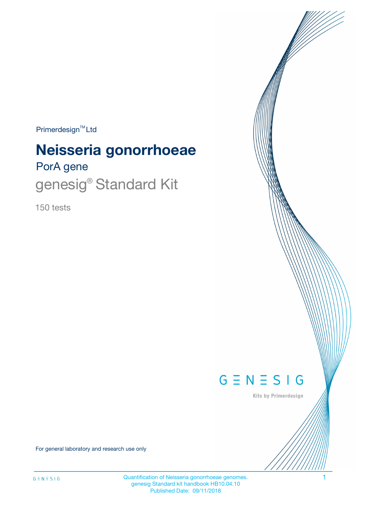$Primerdesign^{\text{TM}}Ltd$ 

# PorA gene **Neisseria gonorrhoeae**

genesig® Standard Kit

150 tests



Kits by Primerdesign

For general laboratory and research use only

Quantification of Neisseria gonorrhoeae genomes. 1 genesig Standard kit handbook HB10.04.10 Published Date: 09/11/2018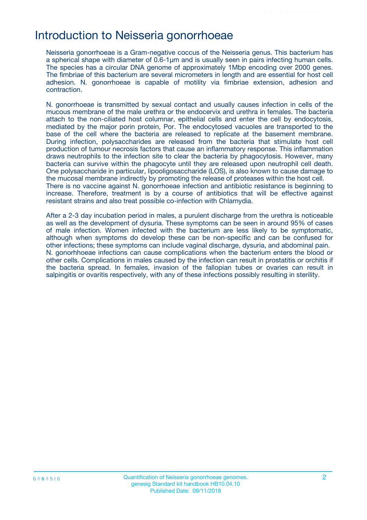### Introduction to Neisseria gonorrhoeae

Neisseria gonorrhoeae is a Gram-negative coccus of the Neisseria genus. This bacterium has a spherical shape with diameter of 0.6-1μm and is usually seen in pairs infecting human cells. The species has a circular DNA genome of approximately 1Mbp encoding over 2000 genes. The fimbriae of this bacterium are several micrometers in length and are essential for host cell adhesion. N. gonorrhoeae is capable of motility via fimbriae extension, adhesion and contraction.

N. gonorrhoeae is transmitted by sexual contact and usually causes infection in cells of the mucous membrane of the male urethra or the endocervix and urethra in females. The bacteria attach to the non-ciliated host columnar, epithelial cells and enter the cell by endocytosis, mediated by the major porin protein, Por. The endocytosed vacuoles are transported to the base of the cell where the bacteria are released to replicate at the basement membrane. During infection, polysaccharides are released from the bacteria that stimulate host cell production of tumour necrosis factors that cause an inflammatory response. This inflammation draws neutrophils to the infection site to clear the bacteria by phagocytosis. However, many bacteria can survive within the phagocyte until they are released upon neutrophil cell death. One polysaccharide in particular, lipooligosaccharide (LOS), is also known to cause damage to the mucosal membrane indirectly by promoting the release of proteases within the host cell. There is no vaccine against N. gonorrhoeae infection and antibiotic resistance is beginning to increase. Therefore, treatment is by a course of antibiotics that will be effective against resistant strains and also treat possible co-infection with Chlamydia.

After a 2-3 day incubation period in males, a purulent discharge from the urethra is noticeable as well as the development of dysuria. These symptoms can be seen in around 95% of cases of male infection. Women infected with the bacterium are less likely to be symptomatic, although when symptoms do develop these can be non-specific and can be confused for other infections; these symptoms can include vaginal discharge, dysuria, and abdominal pain. N. gonorhhoeae infections can cause complications when the bacterium enters the blood or other cells. Complications in males caused by the infection can result in prostatitis or orchitis if the bacteria spread. In females, invasion of the fallopian tubes or ovaries can result in salpingitis or ovaritis respectively, with any of these infections possibly resulting in sterility.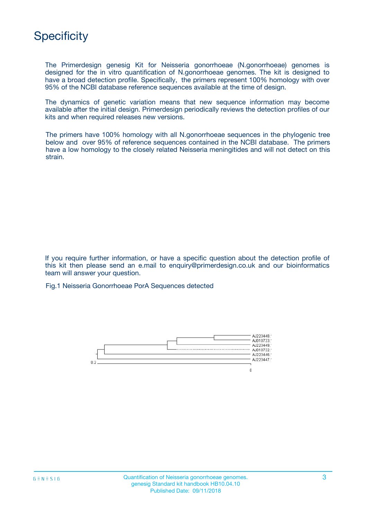

The Primerdesign genesig Kit for Neisseria gonorrhoeae (N.gonorrhoeae) genomes is designed for the in vitro quantification of N.gonorrhoeae genomes. The kit is designed to have a broad detection profile. Specifically, the primers represent 100% homology with over 95% of the NCBI database reference sequences available at the time of design.

The dynamics of genetic variation means that new sequence information may become available after the initial design. Primerdesign periodically reviews the detection profiles of our kits and when required releases new versions.

The primers have 100% homology with all N.gonorrhoeae sequences in the phylogenic tree below and over 95% of reference sequences contained in the NCBI database. The primers have a low homology to the closely related Neisseria meningitides and will not detect on this strain.

If you require further information, or have a specific question about the detection profile of this kit then please send an e.mail to enquiry@primerdesign.co.uk and our bioinformatics team will answer your question.

Fig.1 Neisseria Gonorrhoeae PorA Sequences detected

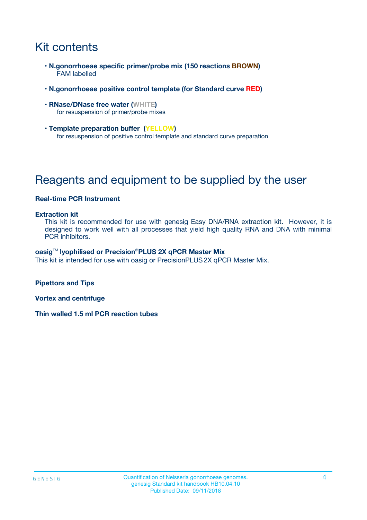## Kit contents

- **N.gonorrhoeae specific primer/probe mix (150 reactions BROWN)** FAM labelled
- **N.gonorrhoeae positive control template (for Standard curve RED)**
- **RNase/DNase free water (WHITE)** for resuspension of primer/probe mixes
- **Template preparation buffer (YELLOW)** for resuspension of positive control template and standard curve preparation

## Reagents and equipment to be supplied by the user

#### **Real-time PCR Instrument**

#### **Extraction kit**

This kit is recommended for use with genesig Easy DNA/RNA extraction kit. However, it is designed to work well with all processes that yield high quality RNA and DNA with minimal PCR inhibitors.

#### **oasig**TM **lyophilised or Precision**®**PLUS 2X qPCR Master Mix**

This kit is intended for use with oasig or PrecisionPLUS2X qPCR Master Mix.

**Pipettors and Tips**

**Vortex and centrifuge**

**Thin walled 1.5 ml PCR reaction tubes**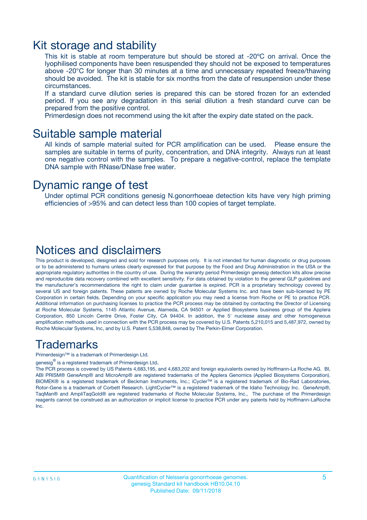### Kit storage and stability

This kit is stable at room temperature but should be stored at -20ºC on arrival. Once the lyophilised components have been resuspended they should not be exposed to temperatures above -20°C for longer than 30 minutes at a time and unnecessary repeated freeze/thawing should be avoided. The kit is stable for six months from the date of resuspension under these circumstances.

If a standard curve dilution series is prepared this can be stored frozen for an extended period. If you see any degradation in this serial dilution a fresh standard curve can be prepared from the positive control.

Primerdesign does not recommend using the kit after the expiry date stated on the pack.

### Suitable sample material

All kinds of sample material suited for PCR amplification can be used. Please ensure the samples are suitable in terms of purity, concentration, and DNA integrity. Always run at least one negative control with the samples. To prepare a negative-control, replace the template DNA sample with RNase/DNase free water.

### Dynamic range of test

Under optimal PCR conditions genesig N.gonorrhoeae detection kits have very high priming efficiencies of >95% and can detect less than 100 copies of target template.

### Notices and disclaimers

This product is developed, designed and sold for research purposes only. It is not intended for human diagnostic or drug purposes or to be administered to humans unless clearly expressed for that purpose by the Food and Drug Administration in the USA or the appropriate regulatory authorities in the country of use. During the warranty period Primerdesign genesig detection kits allow precise and reproducible data recovery combined with excellent sensitivity. For data obtained by violation to the general GLP guidelines and the manufacturer's recommendations the right to claim under guarantee is expired. PCR is a proprietary technology covered by several US and foreign patents. These patents are owned by Roche Molecular Systems Inc. and have been sub-licensed by PE Corporation in certain fields. Depending on your specific application you may need a license from Roche or PE to practice PCR. Additional information on purchasing licenses to practice the PCR process may be obtained by contacting the Director of Licensing at Roche Molecular Systems, 1145 Atlantic Avenue, Alameda, CA 94501 or Applied Biosystems business group of the Applera Corporation, 850 Lincoln Centre Drive, Foster City, CA 94404. In addition, the 5' nuclease assay and other homogeneous amplification methods used in connection with the PCR process may be covered by U.S. Patents 5,210,015 and 5,487,972, owned by Roche Molecular Systems, Inc, and by U.S. Patent 5,538,848, owned by The Perkin-Elmer Corporation.

### Trademarks

Primerdesign™ is a trademark of Primerdesign Ltd.

genesig $^\circledR$  is a registered trademark of Primerdesign Ltd.

The PCR process is covered by US Patents 4,683,195, and 4,683,202 and foreign equivalents owned by Hoffmann-La Roche AG. BI, ABI PRISM® GeneAmp® and MicroAmp® are registered trademarks of the Applera Genomics (Applied Biosystems Corporation). BIOMEK® is a registered trademark of Beckman Instruments, Inc.; iCycler™ is a registered trademark of Bio-Rad Laboratories, Rotor-Gene is a trademark of Corbett Research. LightCycler™ is a registered trademark of the Idaho Technology Inc. GeneAmp®, TaqMan® and AmpliTaqGold® are registered trademarks of Roche Molecular Systems, Inc., The purchase of the Primerdesign reagents cannot be construed as an authorization or implicit license to practice PCR under any patents held by Hoffmann-LaRoche Inc.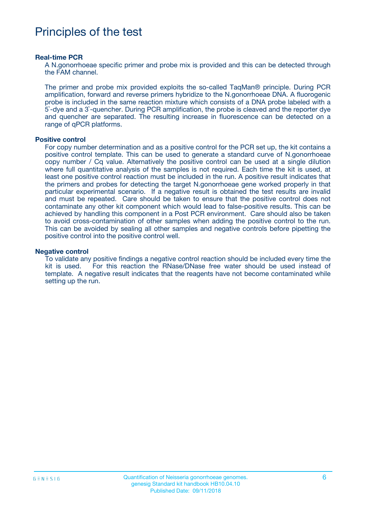## Principles of the test

#### **Real-time PCR**

A N.gonorrhoeae specific primer and probe mix is provided and this can be detected through the FAM channel.

The primer and probe mix provided exploits the so-called TaqMan® principle. During PCR amplification, forward and reverse primers hybridize to the N.gonorrhoeae DNA. A fluorogenic probe is included in the same reaction mixture which consists of a DNA probe labeled with a 5`-dye and a 3`-quencher. During PCR amplification, the probe is cleaved and the reporter dye and quencher are separated. The resulting increase in fluorescence can be detected on a range of qPCR platforms.

#### **Positive control**

For copy number determination and as a positive control for the PCR set up, the kit contains a positive control template. This can be used to generate a standard curve of N.gonorrhoeae copy number / Cq value. Alternatively the positive control can be used at a single dilution where full quantitative analysis of the samples is not required. Each time the kit is used, at least one positive control reaction must be included in the run. A positive result indicates that the primers and probes for detecting the target N.gonorrhoeae gene worked properly in that particular experimental scenario. If a negative result is obtained the test results are invalid and must be repeated. Care should be taken to ensure that the positive control does not contaminate any other kit component which would lead to false-positive results. This can be achieved by handling this component in a Post PCR environment. Care should also be taken to avoid cross-contamination of other samples when adding the positive control to the run. This can be avoided by sealing all other samples and negative controls before pipetting the positive control into the positive control well.

#### **Negative control**

To validate any positive findings a negative control reaction should be included every time the kit is used. For this reaction the RNase/DNase free water should be used instead of template. A negative result indicates that the reagents have not become contaminated while setting up the run.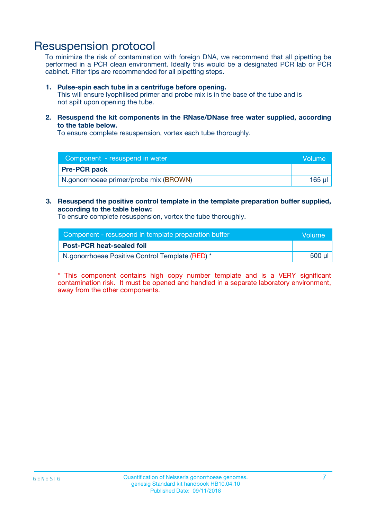## Resuspension protocol

To minimize the risk of contamination with foreign DNA, we recommend that all pipetting be performed in a PCR clean environment. Ideally this would be a designated PCR lab or PCR cabinet. Filter tips are recommended for all pipetting steps.

#### **1. Pulse-spin each tube in a centrifuge before opening.**

This will ensure lyophilised primer and probe mix is in the base of the tube and is not spilt upon opening the tube.

**2. Resuspend the kit components in the RNase/DNase free water supplied, according to the table below.**

To ensure complete resuspension, vortex each tube thoroughly.

| Component - resuspend in water         | Volume |
|----------------------------------------|--------|
| <b>Pre-PCR pack</b>                    |        |
| N.gonorrhoeae primer/probe mix (BROWN) | 165 ul |

**3. Resuspend the positive control template in the template preparation buffer supplied, according to the table below:**

To ensure complete resuspension, vortex the tube thoroughly.

| Component - resuspend in template preparation buffer | lVolume' |
|------------------------------------------------------|----------|
| <b>Post-PCR heat-sealed foil</b>                     |          |
| N.gonorrhoeae Positive Control Template (RED) *      | 500 µl   |

\* This component contains high copy number template and is a VERY significant contamination risk. It must be opened and handled in a separate laboratory environment, away from the other components.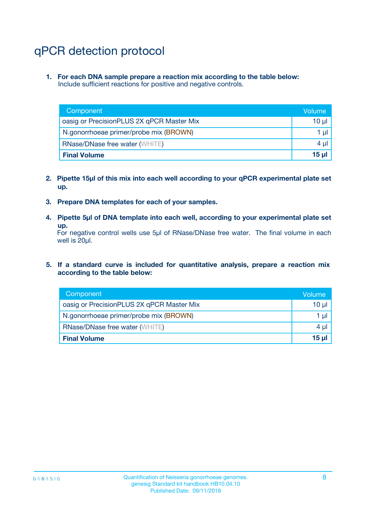## qPCR detection protocol

**1. For each DNA sample prepare a reaction mix according to the table below:** Include sufficient reactions for positive and negative controls.

| Component                                 | Volume   |
|-------------------------------------------|----------|
| oasig or PrecisionPLUS 2X qPCR Master Mix | $10 \mu$ |
| N.gonorrhoeae primer/probe mix (BROWN)    | 1 µl     |
| <b>RNase/DNase free water (WHITE)</b>     | $4 \mu$  |
| <b>Final Volume</b>                       | 15 ul    |

- **2. Pipette 15µl of this mix into each well according to your qPCR experimental plate set up.**
- **3. Prepare DNA templates for each of your samples.**
- **4. Pipette 5µl of DNA template into each well, according to your experimental plate set up.**

For negative control wells use 5µl of RNase/DNase free water. The final volume in each well is 20µl.

**5. If a standard curve is included for quantitative analysis, prepare a reaction mix according to the table below:**

| Component                                 | Volume     |
|-------------------------------------------|------------|
| oasig or PrecisionPLUS 2X qPCR Master Mix | 10 µl      |
| N.gonorrhoeae primer/probe mix (BROWN)    | 1 µI       |
| <b>RNase/DNase free water (WHITE)</b>     | $4 \mu$    |
| <b>Final Volume</b>                       | $15$ $\mu$ |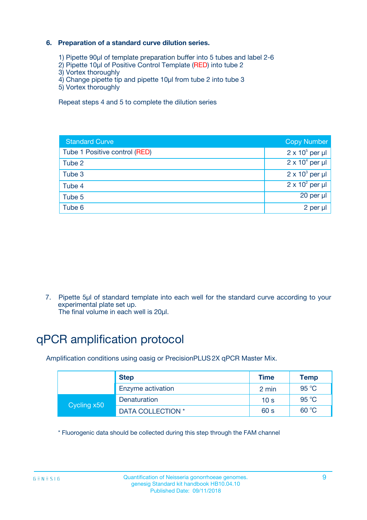### **6. Preparation of a standard curve dilution series.**

- 1) Pipette 90µl of template preparation buffer into 5 tubes and label 2-6
- 2) Pipette 10µl of Positive Control Template (RED) into tube 2
- 3) Vortex thoroughly
- 4) Change pipette tip and pipette 10µl from tube 2 into tube 3
- 5) Vortex thoroughly

Repeat steps 4 and 5 to complete the dilution series

| <b>Standard Curve</b>         | <b>Copy Number</b>     |
|-------------------------------|------------------------|
| Tube 1 Positive control (RED) | $2 \times 10^5$ per µl |
| Tube 2                        | $2 \times 10^4$ per µl |
| Tube 3                        | $2 \times 10^3$ per µl |
| Tube 4                        | $2 \times 10^2$ per µl |
| Tube 5                        | 20 per µl              |
| Tube 6                        | 2 per ul               |

7. Pipette 5µl of standard template into each well for the standard curve according to your experimental plate set up.

The final volume in each well is 20µl.

## qPCR amplification protocol

Amplification conditions using oasig or PrecisionPLUS2X qPCR Master Mix.

|             | <b>Step</b>       | <b>Time</b>     | <b>Temp</b>    |
|-------------|-------------------|-----------------|----------------|
|             | Enzyme activation | 2 min           | $95^{\circ}$ C |
| Cycling x50 | Denaturation      | 10 <sub>s</sub> | 95 $°C$        |
|             | DATA COLLECTION * | 60 s            | 60 °C          |

\* Fluorogenic data should be collected during this step through the FAM channel